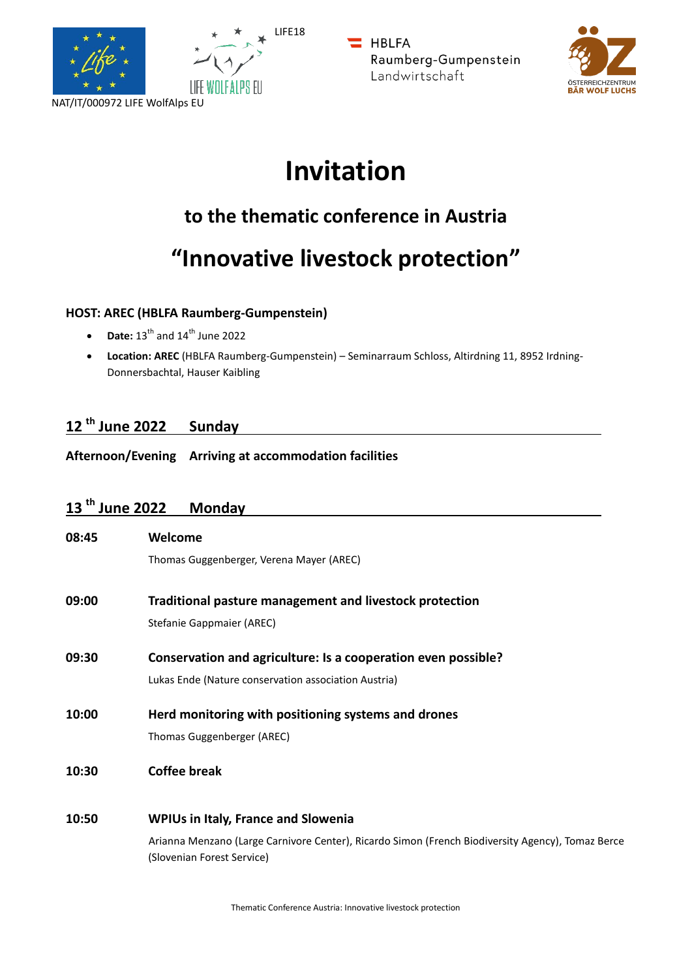



**HBLFA** Raumberg-Gumpenstein Landwirtschaft



# **Invitation**

# **to the thematic conference in Austria**

# **"Innovative livestock protection"**

## **HOST: AREC (HBLFA Raumberg-Gumpenstein)**

- **Date:**  $13^{th}$  and  $14^{th}$  June 2022
- **Location: AREC** (HBLFA Raumberg-Gumpenstein) Seminarraum Schloss, Altirdning 11, 8952 Irdning-Donnersbachtal, Hauser Kaibling

## **12 th June 2022 Sunday**

**Afternoon/Evening Arriving at accommodation facilities**

## **13 th June 2022 Monday**

| 08:45 | Welcome                                                                                                                         |
|-------|---------------------------------------------------------------------------------------------------------------------------------|
|       | Thomas Guggenberger, Verena Mayer (AREC)                                                                                        |
| 09:00 | Traditional pasture management and livestock protection                                                                         |
|       | <b>Stefanie Gappmaier (AREC)</b>                                                                                                |
| 09:30 | Conservation and agriculture: Is a cooperation even possible?                                                                   |
|       | Lukas Ende (Nature conservation association Austria)                                                                            |
| 10:00 | Herd monitoring with positioning systems and drones                                                                             |
|       | Thomas Guggenberger (AREC)                                                                                                      |
| 10:30 | <b>Coffee break</b>                                                                                                             |
| 10:50 | <b>WPIUs in Italy, France and Slowenia</b>                                                                                      |
|       | Arianna Menzano (Large Carnivore Center), Ricardo Simon (French Biodiversity Agency), Tomaz Berce<br>(Slovenian Forest Service) |

Thematic Conference Austria: Innovative livestock protection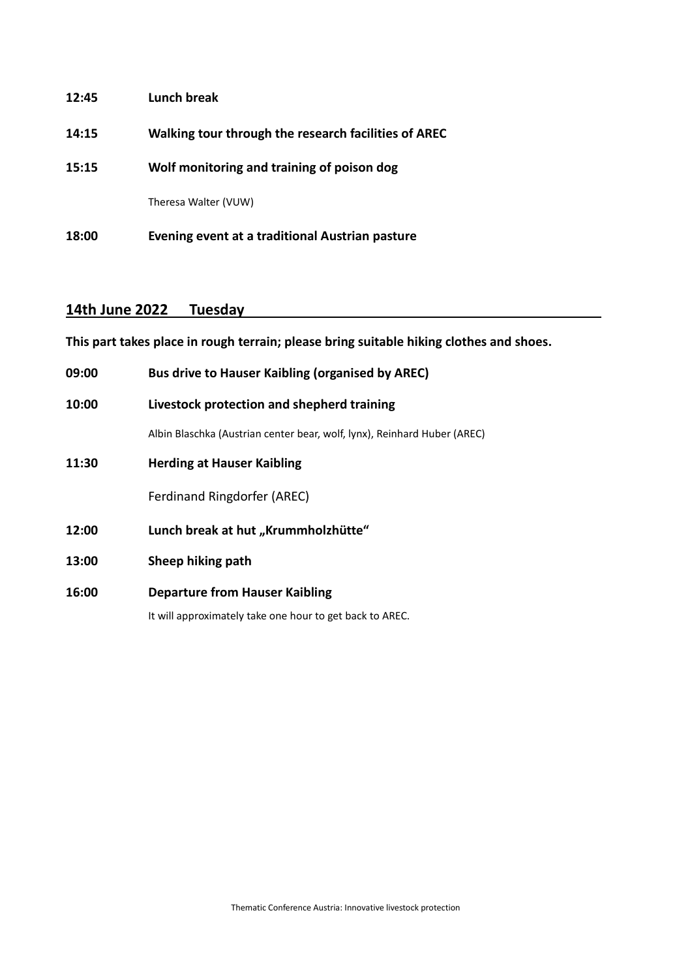| 18:00 | Evening event at a traditional Austrian pasture      |
|-------|------------------------------------------------------|
|       | Theresa Walter (VUW)                                 |
| 15:15 | Wolf monitoring and training of poison dog           |
| 14:15 | Walking tour through the research facilities of AREC |
| 12:45 | Lunch break                                          |

## **14th June 2022 Tuesday**

**This part takes place in rough terrain; please bring suitable hiking clothes and shoes.** 

| 09:00 | <b>Bus drive to Hauser Kaibling (organised by AREC)</b>                  |  |
|-------|--------------------------------------------------------------------------|--|
| 10:00 | Livestock protection and shepherd training                               |  |
|       | Albin Blaschka (Austrian center bear, wolf, lynx), Reinhard Huber (AREC) |  |
| 11:30 | <b>Herding at Hauser Kaibling</b>                                        |  |
|       | Ferdinand Ringdorfer (AREC)                                              |  |
| 12:00 | Lunch break at hut "Krummholzhütte"                                      |  |
| 13:00 | Sheep hiking path                                                        |  |
| 16:00 | <b>Departure from Hauser Kaibling</b>                                    |  |
|       |                                                                          |  |

It will approximately take one hour to get back to AREC.